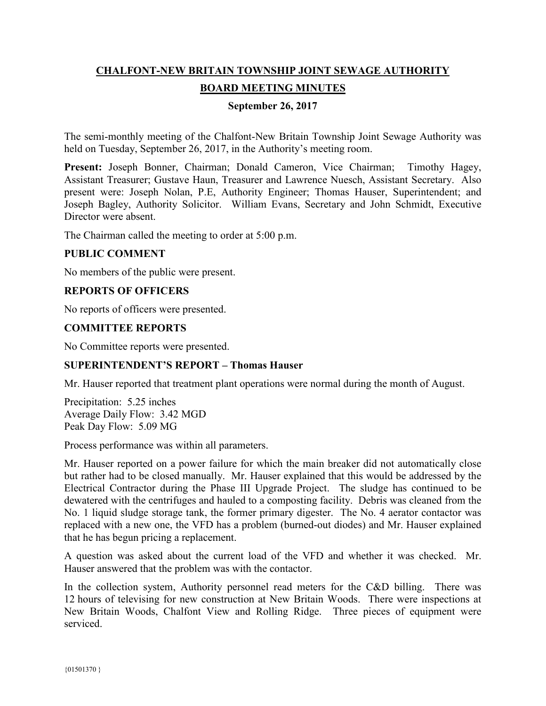# **CHALFONT-NEW BRITAIN TOWNSHIP JOINT SEWAGE AUTHORITY BOARD MEETING MINUTES**

## **September 26, 2017**

The semi-monthly meeting of the Chalfont-New Britain Township Joint Sewage Authority was held on Tuesday, September 26, 2017, in the Authority's meeting room.

Present: Joseph Bonner, Chairman; Donald Cameron, Vice Chairman; Timothy Hagey, Assistant Treasurer; Gustave Haun, Treasurer and Lawrence Nuesch, Assistant Secretary. Also present were: Joseph Nolan, P.E, Authority Engineer; Thomas Hauser, Superintendent; and Joseph Bagley, Authority Solicitor. William Evans, Secretary and John Schmidt, Executive Director were absent.

The Chairman called the meeting to order at 5:00 p.m.

#### **PUBLIC COMMENT**

No members of the public were present.

#### **REPORTS OF OFFICERS**

No reports of officers were presented.

#### **COMMITTEE REPORTS**

No Committee reports were presented.

### **SUPERINTENDENT'S REPORT – Thomas Hauser**

Mr. Hauser reported that treatment plant operations were normal during the month of August.

Precipitation: 5.25 inches Average Daily Flow: 3.42 MGD Peak Day Flow: 5.09 MG

Process performance was within all parameters.

Mr. Hauser reported on a power failure for which the main breaker did not automatically close but rather had to be closed manually. Mr. Hauser explained that this would be addressed by the Electrical Contractor during the Phase III Upgrade Project. The sludge has continued to be dewatered with the centrifuges and hauled to a composting facility. Debris was cleaned from the No. 1 liquid sludge storage tank, the former primary digester. The No. 4 aerator contactor was replaced with a new one, the VFD has a problem (burned-out diodes) and Mr. Hauser explained that he has begun pricing a replacement.

A question was asked about the current load of the VFD and whether it was checked. Mr. Hauser answered that the problem was with the contactor.

In the collection system, Authority personnel read meters for the C&D billing. There was 12 hours of televising for new construction at New Britain Woods. There were inspections at New Britain Woods, Chalfont View and Rolling Ridge. Three pieces of equipment were serviced.